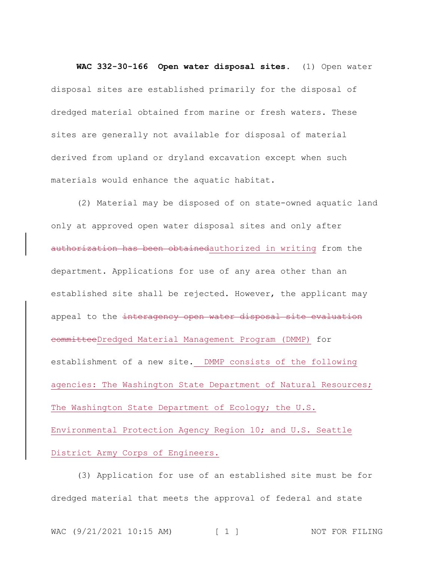**WAC 332-30-166 Open water disposal sites.** (1) Open water disposal sites are established primarily for the disposal of dredged material obtained from marine or fresh waters. These sites are generally not available for disposal of material derived from upland or dryland excavation except when such materials would enhance the aquatic habitat.

(2) Material may be disposed of on state-owned aquatic land only at approved open water disposal sites and only after authorization has been obtainedauthorized in writing from the department. Applications for use of any area other than an established site shall be rejected. However, the applicant may appeal to the interagency open water disposal site evaluation committeeDredged Material Management Program (DMMP) for establishment of a new site. DMMP consists of the following agencies: The Washington State Department of Natural Resources; The Washington State Department of Ecology; the U.S. Environmental Protection Agency Region 10; and U.S. Seattle District Army Corps of Engineers.

(3) Application for use of an established site must be for dredged material that meets the approval of federal and state

```
WAC (9/21/2021 10:15 AM) [ 1 ] NOT FOR FILING
```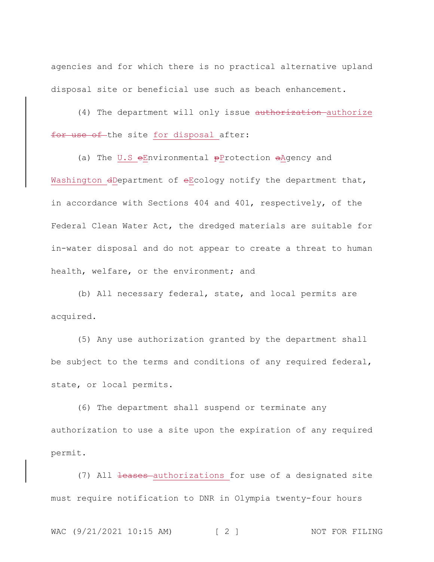agencies and for which there is no practical alternative upland disposal site or beneficial use such as beach enhancement.

(4) The department will only issue authorization authorize for use of the site for disposal after:

(a) The U.S  $e$ Environmental  $p$ Protection  $a$ Agency and Washington dDepartment of eEcology notify the department that, in accordance with Sections 404 and 401, respectively, of the Federal Clean Water Act, the dredged materials are suitable for in-water disposal and do not appear to create a threat to human health, welfare, or the environment; and

(b) All necessary federal, state, and local permits are acquired.

(5) Any use authorization granted by the department shall be subject to the terms and conditions of any required federal, state, or local permits.

(6) The department shall suspend or terminate any authorization to use a site upon the expiration of any required permit.

(7) All <del>leases</del> authorizations for use of a designated site must require notification to DNR in Olympia twenty-four hours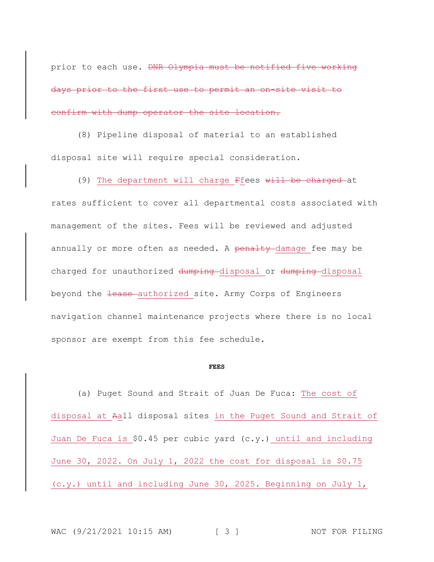prior to each use. DNR Olympia must be notified five working days prior to the first use to permit an on-site visit to confirm with dump operator the site location.

(8) Pipeline disposal of material to an established disposal site will require special consideration.

(9) The department will charge Ffees will be charged at rates sufficient to cover all departmental costs associated with management of the sites. Fees will be reviewed and adjusted annually or more often as needed. A penalty-damage fee may be charged for unauthorized dumping disposal or dumping disposal beyond the lease authorized site. Army Corps of Engineers navigation channel maintenance projects where there is no local sponsor are exempt from this fee schedule.

## **FEES**

(a) Puget Sound and Strait of Juan De Fuca: The cost of disposal at Aall disposal sites in the Puget Sound and Strait of Juan De Fuca is \$0.45 per cubic yard (c.y.) until and including June 30, 2022. On July 1, 2022 the cost for disposal is \$0.75 (c.y.) until and including June 30, 2025. Beginning on July 1,

WAC (9/21/2021 10:15 AM) [ 3 ] NOT FOR FILING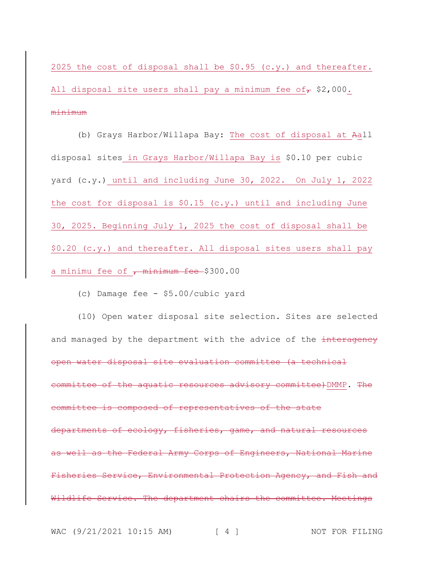2025 the cost of disposal shall be  $$0.95$  (c.y.) and thereafter. All disposal site users shall pay a minimum fee of  $\tau$  \$2,000. minimum

(b) Grays Harbor/Willapa Bay: The cost of disposal at Aall disposal sites in Grays Harbor/Willapa Bay is \$0.10 per cubic yard (c.y.) until and including June 30, 2022. On July 1, 2022 the cost for disposal is \$0.15 (c.y.) until and including June 30, 2025. Beginning July 1, 2025 the cost of disposal shall be  $$0.20$  (c.y.) and thereafter. All disposal sites users shall pay a minimu fee of  $\frac{1}{100}$  minimum fee \$300.00

(c) Damage fee - \$5.00/cubic yard

(10) Open water disposal site selection. Sites are selected and managed by the department with the advice of the interagency open water disposal site evaluation committee (a technical committee of the aquatic resources advisory committee)DMMP. The committee is composed of representatives of the state departments of ecology, fisheries, game, and natural resources as well as the Federal Army Corps of Engineers, National Marine Fisheries Service, Environmental Protection Agency, and Fish and Wildlife Service. The department chairs the committee. Meetings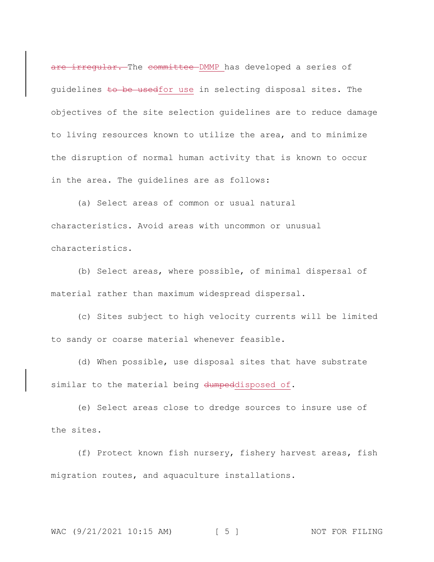are irregular. The committee DMMP has developed a series of guidelines to be usedfor use in selecting disposal sites. The objectives of the site selection guidelines are to reduce damage to living resources known to utilize the area, and to minimize the disruption of normal human activity that is known to occur in the area. The guidelines are as follows:

(a) Select areas of common or usual natural characteristics. Avoid areas with uncommon or unusual characteristics.

(b) Select areas, where possible, of minimal dispersal of material rather than maximum widespread dispersal.

(c) Sites subject to high velocity currents will be limited to sandy or coarse material whenever feasible.

(d) When possible, use disposal sites that have substrate similar to the material being dumpeddisposed of.

(e) Select areas close to dredge sources to insure use of the sites.

(f) Protect known fish nursery, fishery harvest areas, fish migration routes, and aquaculture installations.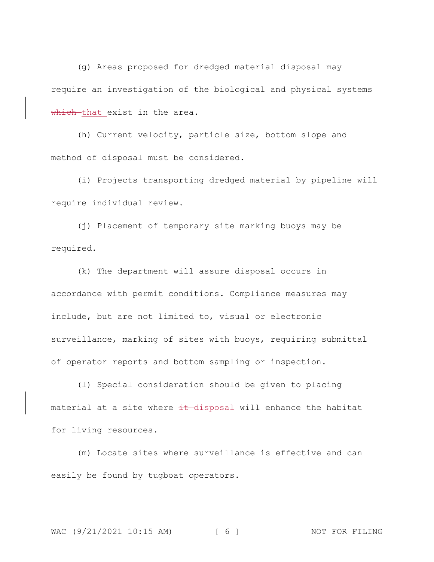(g) Areas proposed for dredged material disposal may require an investigation of the biological and physical systems which that exist in the area.

(h) Current velocity, particle size, bottom slope and method of disposal must be considered.

(i) Projects transporting dredged material by pipeline will require individual review.

(j) Placement of temporary site marking buoys may be required.

(k) The department will assure disposal occurs in accordance with permit conditions. Compliance measures may include, but are not limited to, visual or electronic surveillance, marking of sites with buoys, requiring submittal of operator reports and bottom sampling or inspection.

(l) Special consideration should be given to placing material at a site where  $\pm\text{t}-$ disposal will enhance the habitat for living resources.

(m) Locate sites where surveillance is effective and can easily be found by tugboat operators.

NOT FOR FILING